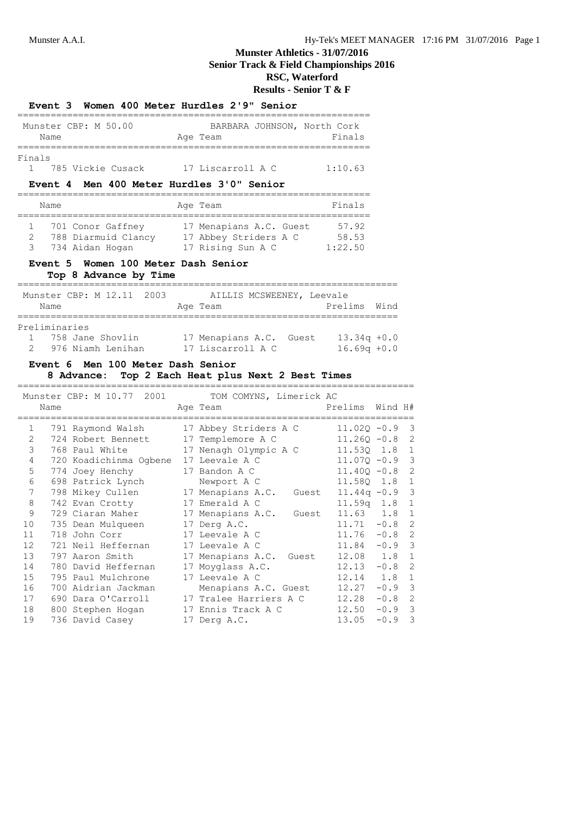# **Munster Athletics - 31/07/2016 Senior Track & Field Championships 2016 RSC, Waterford**

**Results - Senior T & F**

|                                            | =============                                                                             | Munster CBP: M 50.00 BARBARA JOHNSON, North Cork<br>Name Rage Team Finals<br>:===================                       | Finals<br>===========                              |                            |                          |
|--------------------------------------------|-------------------------------------------------------------------------------------------|-------------------------------------------------------------------------------------------------------------------------|----------------------------------------------------|----------------------------|--------------------------|
| Finals<br>1                                | Event 4 Men 400 Meter Hurdles 3'0" Senior                                                 | 785 Vickie Cusack 17 Liscarroll A C 1:10.63                                                                             |                                                    |                            |                          |
|                                            | Name                                                                                      | Age Team                                                                                                                | ________________<br>Finals                         |                            |                          |
| $1 \quad$<br>$\mathbf{2}$<br>$\mathcal{B}$ | 734 Aidan Hogan                                                                           | 701 Conor Gaffney 17 Menapians A.C. Guest 57.92<br>788 Diarmuid Clancy 17 Abbey Striders A C 58.53<br>17 Rising Sun A C | 1:22.50                                            |                            |                          |
|                                            | Event 5 Women 100 Meter Dash Senior<br>Top 8 Advance by Time                              |                                                                                                                         |                                                    |                            |                          |
|                                            | Name                                                                                      | Munster CBP: M 12.11 2003 AILLIS MCSWEENEY, Leevale<br>Age Team                                                         | Prelims                                            | Wind                       |                          |
| $\overline{2}$                             | ============<br>Preliminaries<br>976 Niamh Lenihan                                        | 1 758 Jane Shovlin 17 Menapians A.C. Guest 13.34q +0.0                                                                  | $16.69q +0.0$                                      |                            |                          |
|                                            | Event 6 Men 100 Meter Dash Senior                                                         | 17 Liscarroll A C                                                                                                       |                                                    |                            |                          |
|                                            | 8 Advance:<br>Munster CBP: M 10.77 2001<br>Name                                           | Top 2 Each Heat plus Next 2 Best Times<br>TOM COMYNS, Limerick AC<br>Age Team                                           | Prelims                                            | Wind H#                    |                          |
| 1<br>$\overline{2}$<br>3                   | ============================<br>791 Raymond Walsh<br>724 Robert Bennett<br>768 Paul White | =========================<br>17 Abbey Striders A C<br>17 Templemore A C<br>17 Nenagh Olympic A C                        | $11.02Q - 0.9$<br>$11.26Q - 0.8$<br>$11.53Q$ $1.8$ |                            | 3<br>$\overline{2}$<br>1 |
| 4<br>5<br>6                                | 720 Koadichinma Ogbene<br>774 Joey Henchy<br>698 Patrick Lynch                            | 17 Leevale A C<br>17 Bandon A C<br>Newport A C                                                                          | $11.07Q - 0.9$<br>$11.40Q - 0.8$<br>11.58Q 1.8     |                            | 3<br>2<br>1              |
| 7<br>8<br>9                                | 798 Mikey Cullen<br>742 Evan Crotty<br>729 Ciaran Maher                                   | 17 Menapians A.C. Guest<br>17 Emerald A C<br>17 Menapians A.C. Guest                                                    | $11.44q -0.9$<br>11.59q 1.8<br>11.63 1.8           |                            | 3<br>1<br>1              |
| 10<br>11<br>12                             | 735 Dean Mulqueen<br>718 John Corr<br>721 Neil Heffernan                                  | 17 Derg A.C.<br>17 Leevale A C<br>17 Leevale A C                                                                        | 11.71<br>11.76<br>11.84                            | $-0.8$<br>$-0.8$<br>$-0.9$ | 2<br>2<br>3              |
| 13<br>14<br>15                             | 797 Aaron Smith<br>780 David Heffernan<br>795 Paul Mulchrone                              | 17 Menapians A.C. Guest<br>17 Moyglass A.C.<br>17 Leevale A C                                                           | 12.08<br>12.13<br>12.14                            | 1.8<br>$-0.8$<br>1.8       | 1<br>2<br>$\mathbf 1$    |

18 800 Stephen Hogan 17 Ennis Track A C 12.50 -0.9 3 19 736 David Casey 17 Derg A.C. 13.05 -0.9 3

**Event 3 Women 400 Meter Hurdles 2'9" Senior**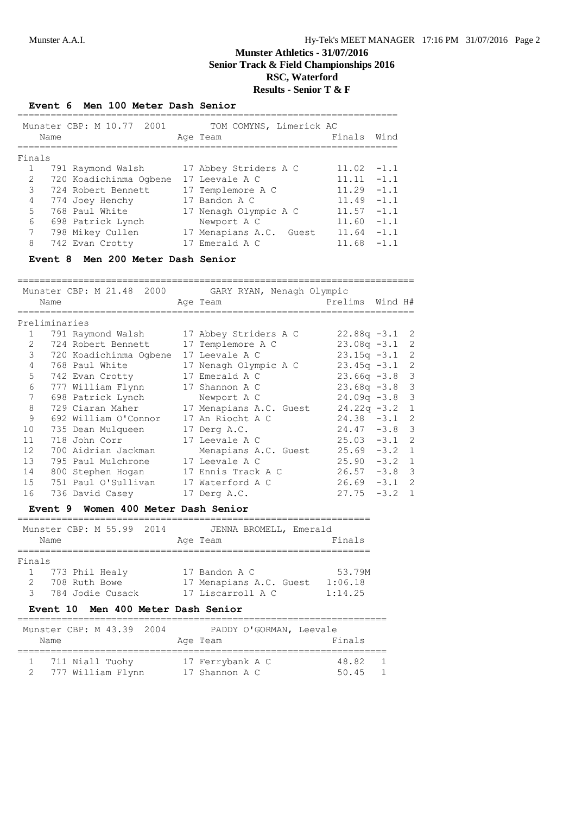## **Munster Athletics - 31/07/2016 Senior Track & Field Championships 2016 RSC, Waterford Results - Senior T & F**

**Event 6 Men 100 Meter Dash Senior**

| TOM COMYNS, Limerick AC<br>Munster CBP: M 10.77 2001<br>Finals<br>Age Team<br>Name<br>Finals<br>17 Abbey Striders A C<br>791 Raymond Walsh<br>11.02<br>720 Koadichinma Oqbene<br>2<br>17 Leevale A C<br>11.11<br>3<br>11.29<br>724 Robert Bennett<br>17 Templemore A C<br>4<br>11.49<br>774 Joey Henchy<br>17 Bandon A C<br>5.<br>768 Paul White<br>17 Nenagh Olympic A C<br>11.57<br>6<br>698 Patrick Lynch<br>Newport A C<br>11.60<br>7<br>798 Mikey Cullen<br>17 Menapians A.C. Guest<br>11.64 |   |                 |                |       |        |
|---------------------------------------------------------------------------------------------------------------------------------------------------------------------------------------------------------------------------------------------------------------------------------------------------------------------------------------------------------------------------------------------------------------------------------------------------------------------------------------------------|---|-----------------|----------------|-------|--------|
|                                                                                                                                                                                                                                                                                                                                                                                                                                                                                                   |   |                 |                |       | Wind   |
|                                                                                                                                                                                                                                                                                                                                                                                                                                                                                                   |   |                 |                |       |        |
|                                                                                                                                                                                                                                                                                                                                                                                                                                                                                                   |   |                 |                |       | $-1.1$ |
|                                                                                                                                                                                                                                                                                                                                                                                                                                                                                                   |   |                 |                |       | $-1.1$ |
|                                                                                                                                                                                                                                                                                                                                                                                                                                                                                                   |   |                 |                |       | $-1.1$ |
|                                                                                                                                                                                                                                                                                                                                                                                                                                                                                                   |   |                 |                |       | $-1.1$ |
|                                                                                                                                                                                                                                                                                                                                                                                                                                                                                                   |   |                 |                |       | $-1.1$ |
|                                                                                                                                                                                                                                                                                                                                                                                                                                                                                                   |   |                 |                |       | $-1.1$ |
|                                                                                                                                                                                                                                                                                                                                                                                                                                                                                                   |   |                 |                |       | $-1.1$ |
|                                                                                                                                                                                                                                                                                                                                                                                                                                                                                                   | 8 | 742 Evan Crotty | 17 Emerald A C | 11.68 | $-1.1$ |

### **Event 8 Men 200 Meter Dash Senior**

|              |               |                        | Munster CBP: M 21.48 2000 GARY RYAN, Nenagh Olympic |                 |                  |
|--------------|---------------|------------------------|-----------------------------------------------------|-----------------|------------------|
|              | Name          |                        | Age Team                                            | Prelims Wind H# |                  |
|              |               |                        |                                                     |                 |                  |
|              | Preliminaries |                        |                                                     |                 |                  |
| $\mathbf{1}$ |               | 791 Raymond Walsh      | 17 Abbey Striders A C                               |                 | $22.88q - 3.1$ 2 |
| 2            |               | 724 Robert Bennett     | 17 Templemore A C                                   |                 | $23.08q - 3.1$ 2 |
| 3            |               | 720 Koadichinma Ogbene | 17 Leevale A C                                      |                 | $23.15q -3.1$ 2  |
| 4            |               | 768 Paul White         | 17 Nenagh Olympic A C                               |                 | $23.45q -3.1$ 2  |
| 5            |               | 742 Evan Crotty        | 17 Emerald A C                                      | $23.66q -3.8$   | 3                |
| 6            |               | 777 William Flynn      | 17 Shannon A C                                      | $23.68q -3.8$   | 3                |
| 7            |               | 698 Patrick Lynch      | Newport A C                                         | $24.09q -3.8$   | 3                |
| 8            |               | 729 Ciaran Maher       | 17 Menapians A.C. Guest                             | $24.22q - 3.2$  | $\mathbf{1}$     |
| 9            |               | 692 William O'Connor   | 17 An Riocht A C                                    |                 | $24.38 - 3.1$ 2  |
| 10           |               | 735 Dean Mulqueen      | 17 Derg A.C.                                        |                 | $24.47 - 3.8$ 3  |
| 11           |               | 718 John Corr          | 17 Leevale A C                                      | $25.03 -3.1$    | 2                |
| 12           |               | 700 Aidrian Jackman    | Menapians A.C. Guest                                |                 | $25.69 - 3.2 1$  |
| 13           |               | 795 Paul Mulchrone     | 17 Leevale A C                                      |                 | $25.90 -3.2 1$   |
| 14           |               | 800 Stephen Hogan      | 17 Ennis Track A C                                  |                 | $26.57 -3.8$ 3   |
| 15           |               | 751 Paul O'Sullivan    | 17 Waterford A C                                    |                 | $26.69 - 3.1$ 2  |
| 16           |               | 736 David Casey        | 17 Derg A.C.                                        | 27.75           | $-3.2 \quad 1$   |
|              |               |                        |                                                     |                 |                  |

#### **Event 9 Women 400 Meter Dash Senior**

|              |               | Munster CBP: M 55.99 2014 |  | JENNA BROMELL, Emerald  |         |
|--------------|---------------|---------------------------|--|-------------------------|---------|
| Name         |               |                           |  | Age Team                | Finals  |
| Finals       |               |                           |  |                         |         |
| $\mathbf{1}$ |               | 773 Phil Healy            |  | 17 Bandon A C           | 53.79M  |
|              | 708 Ruth Bowe |                           |  | 17 Menapians A.C. Guest | 1:06.18 |
|              |               | 784 Jodie Cusack          |  | 17 Liscarroll A C       | 1:14.25 |

### **Event 10 Men 400 Meter Dash Senior**

| Name | Munster CBP: M 43.39 2004            |  | Age Team                           | PADDY O'GORMAN, Leevale | Finals         |  |
|------|--------------------------------------|--|------------------------------------|-------------------------|----------------|--|
|      | 711 Niall Tuohy<br>777 William Flynn |  | 17 Ferrybank A C<br>17 Shannon A C |                         | 48.82<br>50.45 |  |